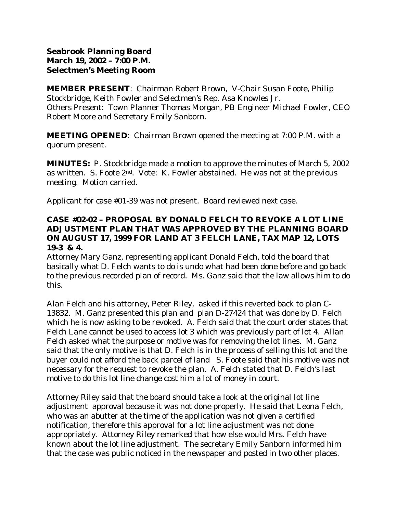# **Seabrook Planning Board March 19, 2002 – 7:00 P.M. Selectmen's Meeting Room**

**MEMBER PRESENT**: Chairman Robert Brown, V-Chair Susan Foote, Philip Stockbridge, Keith Fowler and Selectmen's Rep. Asa Knowles Jr. Others Present: Town Planner Thomas Morgan, PB Engineer Michael Fowler, CEO Robert Moore and Secretary Emily Sanborn.

**MEETING OPENED**: Chairman Brown opened the meeting at 7:00 P.M. with a quorum present.

**MINUTES:** P. Stockbridge made a motion to approve the minutes of March 5, 2002 as written. S. Foote 2nd. Vote: K. Fowler abstained. He was not at the previous meeting. Motion carried.

Applicant for case #01-39 was not present. Board reviewed next case.

# **CASE #02-02 – PROPOSAL BY DONALD FELCH TO REVOKE A LOT LINE ADJUSTMENT PLAN THAT WAS APPROVED BY THE PLANNING BOARD ON AUGUST 17, 1999 FOR LAND AT 3 FELCH LANE, TAX MAP 12, LOTS 19-3 & 4.**

Attorney Mary Ganz, representing applicant Donald Felch, told the board that basically what D. Felch wants to do is undo what had been done before and go back to the previous recorded plan of record. Ms. Ganz said that the law allows him to do this.

Alan Felch and his attorney, Peter Riley, asked if this reverted back to plan C-13832. M. Ganz presented this plan and plan D-27424 that was done by D. Felch which he is now asking to be revoked. A. Felch said that the court order states that Felch Lane cannot be used to access lot 3 which was previously part of lot 4. Allan Felch asked what the purpose or motive was for removing the lot lines. M. Ganz said that the only motive is that D. Felch is in the process of selling this lot and the buyer could not afford the back parcel of land S. Foote said that his motive was not necessary for the request to revoke the plan. A. Felch stated that D. Felch's last motive to do this lot line change cost him a lot of money in court.

Attorney Riley said that the board should take a look at the original lot line adjustment approval because it was not done properly. He said that Leona Felch, who was an abutter at the time of the application was not given a certified notification, therefore this approval for a lot line adjustment was not done appropriately. Attorney Riley remarked that how else would Mrs. Felch have known about the lot line adjustment. The secretary Emily Sanborn informed him that the case was public noticed in the newspaper and posted in two other places.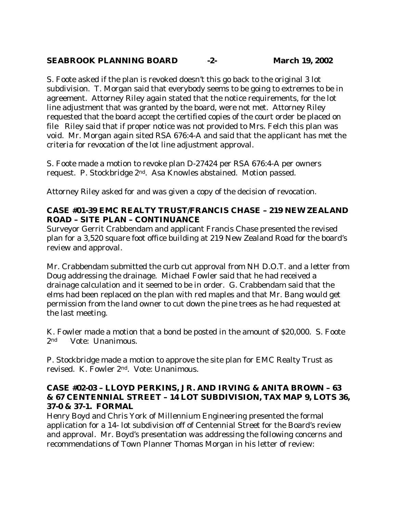## **SEABROOK PLANNING BOARD -2- March 19, 2002**

S. Foote asked if the plan is revoked doesn't this go back to the original 3 lot subdivision. T. Morgan said that everybody seems to be going to extremes to be in agreement. Attorney Riley again stated that the notice requirements, for the lot line adjustment that was granted by the board, were not met. Attorney Riley requested that the board accept the certified copies of the court order be placed on file Riley said that if proper notice was not provided to Mrs. Felch this plan was void. Mr. Morgan again sited RSA 676:4-A and said that the applicant has met the criteria for revocation of the lot line adjustment approval.

S. Foote made a motion to revoke plan D-27424 per RSA 676:4-A per owners request. P. Stockbridge 2nd. Asa Knowles abstained. Motion passed.

Attorney Riley asked for and was given a copy of the decision of revocation.

# **CASE #01-39 EMC REALTY TRUST/FRANCIS CHASE – 219 NEW ZEALAND ROAD – SITE PLAN – CONTINUANCE**

Surveyor Gerrit Crabbendam and applicant Francis Chase presented the revised plan for a 3,520 square foot office building at 219 New Zealand Road for the board's review and approval.

Mr. Crabbendam submitted the curb cut approval from NH D.O.T. and a letter from Doug addressing the drainage. Michael Fowler said that he had received a drainage calculation and it seemed to be in order. G. Crabbendam said that the elms had been replaced on the plan with red maples and that Mr. Bang would get permission from the land owner to cut down the pine trees as he had requested at the last meeting.

K. Fowler made a motion that a bond be posted in the amount of \$20,000. S. Foote 2nd Vote: Unanimous.

P. Stockbridge made a motion to approve the site plan for EMC Realty Trust as revised. K. Fowler 2nd. Vote: Unanimous.

## **CASE #02-03 – LLOYD PERKINS, JR. AND IRVING & ANITA BROWN – 63 & 67 CENTENNIAL STREET – 14 LOT SUBDIVISION, TAX MAP 9, LOTS 36, 37-0 & 37-1. FORMAL**

Henry Boyd and Chris York of Millennium Engineering presented the formal application for a 14- lot subdivision off of Centennial Street for the Board's review and approval. Mr. Boyd's presentation was addressing the following concerns and recommendations of Town Planner Thomas Morgan in his letter of review: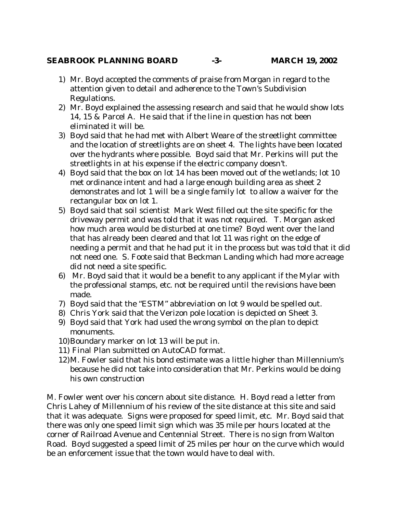#### **SEABROOK PLANNING BOARD -3- MARCH 19, 2002**

- 1) Mr. Boyd accepted the comments of praise from Morgan in regard to the attention given to detail and adherence to the Town's Subdivision Regulations.
- 2) Mr. Boyd explained the assessing research and said that he would show lots 14, 15 & Parcel A. He said that if the line in question has not been eliminated it will be.
- 3) Boyd said that he had met with Albert Weare of the streetlight committee and the location of streetlights are on sheet 4. The lights have been located over the hydrants where possible. Boyd said that Mr. Perkins will put the streetlights in at his expense if the electric company doesn't.
- 4) Boyd said that the box on lot 14 has been moved out of the wetlands; lot 10 met ordinance intent and had a large enough building area as sheet 2 demonstrates and lot 1 will be a single family lot to allow a waiver for the rectangular box on lot 1.
- 5) Boyd said that soil scientist Mark West filled out the site specific for the driveway permit and was told that it was not required. T. Morgan asked how much area would be disturbed at one time? Boyd went over the land that has already been cleared and that lot 11 was right on the edge of needing a permit and that he had put it in the process but was told that it did not need one. S. Foote said that Beckman Landing which had more acreage did not need a site specific.
- 6) Mr. Boyd said that it would be a benefit to any applicant if the Mylar with the professional stamps, etc. not be required until the revisions have been made.
- 7) Boyd said that the "ESTM" abbreviation on lot 9 would be spelled out.
- 8) Chris York said that the Verizon pole location is depicted on Sheet 3.
- 9) Boyd said that York had used the wrong symbol on the plan to depict monuments.
- 10) Boundary marker on lot 13 will be put in.
- 11) Final Plan submitted on AutoCAD format.
- 12) M. Fowler said that his bond estimate was a little higher than Millennium's because he did not take into consideration that Mr. Perkins would be doing his own construction

M. Fowler went over his concern about site distance. H. Boyd read a letter from Chris Lahey of Millennium of his review of the site distance at this site and said that it was adequate. Signs were proposed for speed limit, etc. Mr. Boyd said that there was only one speed limit sign which was 35 mile per hours located at the corner of Railroad Avenue and Centennial Street. There is no sign from Walton Road. Boyd suggested a speed limit of 25 miles per hour on the curve which would be an enforcement issue that the town would have to deal with.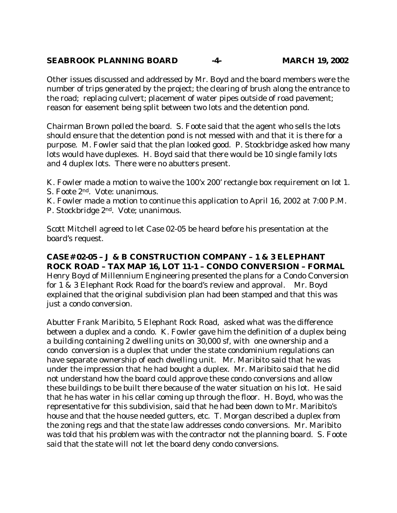## **SEABROOK PLANNING BOARD -4- MARCH 19, 2002**

Other issues discussed and addressed by Mr. Boyd and the board members were the number of trips generated by the project; the clearing of brush along the entrance to the road; replacing culvert; placement of water pipes outside of road pavement; reason for easement being split between two lots and the detention pond.

Chairman Brown polled the board. S. Foote said that the agent who sells the lots should ensure that the detention pond is not messed with and that it is there for a purpose. M. Fowler said that the plan looked good. P. Stockbridge asked how many lots would have duplexes. H. Boyd said that there would be 10 single family lots and 4 duplex lots. There were no abutters present.

- K. Fowler made a motion to waive the 100'x 200' rectangle box requirement on lot 1. S. Foote 2nd. Vote: unanimous.
- K. Fowler made a motion to continue this application to April 16, 2002 at 7:00 P.M.
- P. Stockbridge 2nd. Vote; unanimous.

Scott Mitchell agreed to let Case 02-05 be heard before his presentation at the board's request.

#### **CASE# 02-05 – J & B CONSTRUCTION COMPANY – 1 & 3 ELEPHANT ROCK ROAD – TAX MAP 16, LOT 11-1 – CONDO CONVERSION – FORMAL**  Henry Boyd of Millennium Engineering presented the plans for a Condo Conversion for 1 & 3 Elephant Rock Road for the board's review and approval. Mr. Boyd explained that the original subdivision plan had been stamped and that this was just a condo conversion.

Abutter Frank Maribito, 5 Elephant Rock Road, asked what was the difference between a duplex and a condo. K. Fowler gave him the definition of a duplex being a building containing 2 dwelling units on 30,000 sf, with one ownership and a condo conversion is a duplex that under the state condominium regulations can have separate ownership of each dwelling unit. Mr. Maribito said that he was under the impression that he had bought a duplex. Mr. Maribito said that he did not understand how the board could approve these condo conversions and allow these buildings to be built there because of the water situation on his lot. He said that he has water in his cellar coming up through the floor. H. Boyd, who was the representative for this subdivision, said that he had been down to Mr. Maribito's house and that the house needed gutters, etc. T. Morgan described a duplex from the zoning regs and that the state law addresses condo conversions. Mr. Maribito was told that his problem was with the contractor not the planning board. S. Foote said that the state will not let the board deny condo conversions.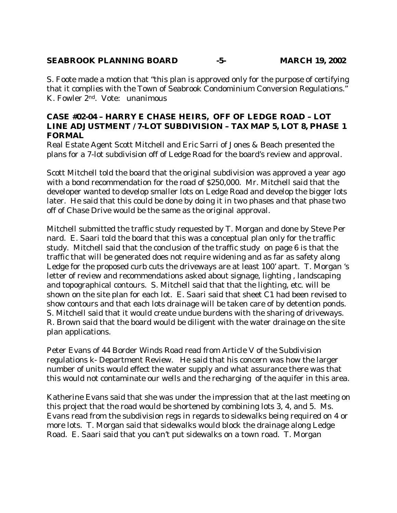# **SEABROOK PLANNING BOARD -5- MARCH 19, 2002**

S. Foote made a motion that "this plan is approved only for the purpose of certifying that it complies with the Town of Seabrook Condominium Conversion Regulations." K. Fowler 2nd. Vote: unanimous

#### **CASE #02-04 – HARRY E CHASE HEIRS, OFF OF LEDGE ROAD – LOT LINE ADJUSTMENT / 7-LOT SUBDIVISION – TAX MAP 5, LOT 8, PHASE 1 FORMAL**

Real Estate Agent Scott Mitchell and Eric Sarri of Jones & Beach presented the plans for a 7-lot subdivision off of Ledge Road for the board's review and approval.

Scott Mitchell told the board that the original subdivision was approved a year ago with a bond recommendation for the road of \$250,000. Mr. Mitchell said that the developer wanted to develop smaller lots on Ledge Road and develop the bigger lots later. He said that this could be done by doing it in two phases and that phase two off of Chase Drive would be the same as the original approval.

Mitchell submitted the traffic study requested by T. Morgan and done by Steve Per nard. E. Saari told the board that this was a conceptual plan only for the traffic study. Mitchell said that the conclusion of the traffic study on page 6 is that the traffic that will be generated does not require widening and as far as safety along Ledge for the proposed curb cuts the driveways are at least 100' apart. T. Morgan 's letter of review and recommendations asked about signage, lighting , landscaping and topographical contours. S. Mitchell said that that the lighting, etc. will be shown on the site plan for each lot. E. Saari said that sheet C1 had been revised to show contours and that each lots drainage will be taken care of by detention ponds. S. Mitchell said that it would create undue burdens with the sharing of driveways. R. Brown said that the board would be diligent with the water drainage on the site plan applications.

Peter Evans of 44 Border Winds Road read from Article V of the Subdivision regulations k- Department Review. He said that his concern was how the larger number of units would effect the water supply and what assurance there was that this would not contaminate our wells and the recharging of the aquifer in this area.

Katherine Evans said that she was under the impression that at the last meeting on this project that the road would be shortened by combining lots 3, 4, and 5. Ms. Evans read from the subdivision regs in regards to sidewalks being required on 4 or more lots. T. Morgan said that sidewalks would block the drainage along Ledge Road. E. Saari said that you can't put sidewalks on a town road. T. Morgan